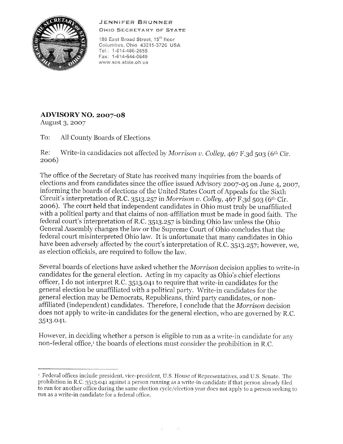## JENNIFER BRUNNER



OH!O SECRETARY OF STATE

180 East Broad Street, 15<sup>th</sup> floor Columbus, Ohio 43215-3726 USA Tel.: 1-614-466-2655 Fax: 1-614-644-0649 W'NW.sos.state.oh. us

## **ADVISORY NO. 2007-08**

August 3, 2007

To: All County Boards of Elections

Re: Write-in candidacies not affected by *Morrison v. Colley*,  $467$  F.3d 503 (6<sup>th</sup> Cir. 2006)

The office of the Secretary of State has received many inquiries from the boards of eleetions and from candidates since the office issued Advisory 2007-05 on June 4, 2007, informing the boards of elections of the United States Court of Appeals for the Sixth Circuit's interpretation of R.C. 3513.257 in *Morrison v. Colley,* 467 F.3d 503 (6th Cir. 2006). The court held that independent candidates in Ohio must truly be unaffiliated with a political party and that claims of non-affiliation must be made in good faith. The federal court's interpretation of R.C. 3513.257 is binding Ohio law unless the Ohio General Assembly changes the law or the Supreme Court of Ohio concludes that the federal court misinterpreted Ohio law. It is unfortunate that many candidates in Ohio have been adversely affected by the court's interpretation of R.C. 3513.257; however, we, as election officials, are required to follow the law.

Several boards of elections have asked whether the *Morrison* decision applies to write-in candidates for the general election. Acting in my capacity as Ohio's chief elections officer, I do not interpret R.C. 3513.041 to require that write-in candidates for the general election be unaffiliated with a political party. Write-in candidates for the general election may be Democrats, Republicans, third party candidates, or nonaffiliated (independent) candidates. Therefore, I conclude that the *Morrison* decision does not apply to write-in candidates for the general election, who are governed by R.C. 3513.041.

However, in deciding whether a person is eligible *to* run as a write-in candidate for any non-federal office,<sup>1</sup> the boards of elections must consider the prohibition in R.C.

<sup>&#</sup>x27; Federal offices include president, Yice-presiclent, U.S. House of Represcntatiws, and U.S. Senate. The prohibition in R.C. 3513.041 against a person running as a write-in candidate if that person already filed to run for another office during the same election cycle/election year docs not apply to a person seeking to run as a write-in candidate for a federal office.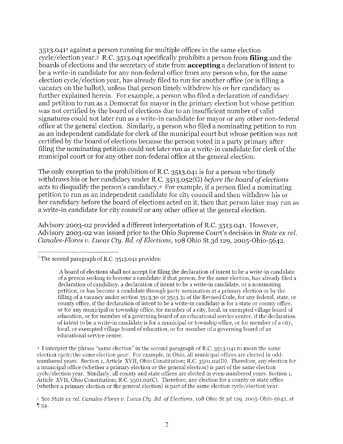3513.041<sup>2</sup> against a person running for multiple offices in the same election cycle/election year.3 R.C. 3513.041 specifically prohibits a person from **filing** and the boards of elections and the secretary of state from **accepting** a declaration of intent to be a write-in candidate for any non-federal office from any person who, for the same election cycle/election year, has already filed to run for another office (or is filling a yacancy on the ballot), unless that person timely withdrew his or her candidacy as further explained herein. For example, a person who filed a declaration of candidacy and petition to run as a Democrat for mayor in the primary election but whose petition was not certified by the board of elections due to an insufficient number of valid signatures could not later run as a write-in candidate for mayor or any other non-federal office at the general election. Similarly, a person who filed a nominating petition to run as an independent candidate for clerk of the municipal court but whose petition was not certified by the board of elections because the person voted in a party primary after filing the nominating petition could not later run as a write-in candidate for clerk of the municipal court or for any other non-federal office at the general election.

The only exception to the prohibition of R.C. 3513.041 is for a person who timely withdraws his or her candidacy under R.C. 3513.052(G) *before the board ofelections acts* to disqualify the person's candidacy.4 For example, if a person filed a nominating petition to run as an independent candidate for city council and then withdrew his or her candidacy before the board of elections acted on it, then that person later may run as a write-in candidate for city council or any other office at the general election.

Advisory 2003-02 provided a different interpretation of R.C. 3513.041. However, Advisory 2003-02 was issued prior to the Ohio Supreme Court's decision in *State ex rel. Canales-Flores v. Lucas Cty. Bd. ofElections,* 108 Ohio St.3d 129, 2005-Ohio-5642.

<sup>3</sup> I interpret the phrase "same election" in the second paragraph of R.C. 3513.041 to mean the same election cycle/the same election *yem·.* For example, in Ohio, all municipal offices are elected in oddnumbered years. Section 1, Article Avll, Ohio Constitution; R.C. 3501.02(D). Therefore, any election for a municipal office (whether a primary election or the general election) is part of the same election cycle/election year. Similarly, all county and state offices are elected in even-numbered years. Section 1, Article Avll, Ohio Constitution; R.C. 3501.02(C). Therefore, any election for a county or state office (whether a primary election or the general election) is part of the same election cycle/election year.

<sup>&</sup>lt;sup>2</sup> The second paragraph of R.C. 3513.041 provides:

A board of elections shall not accept for filing the declaration of intent to be a write-in candidate of a person seeking to become a candidate if that person, for the same election, has already filed a declaration of candidacy, a declaration of intent to be a write-in candidate, or a nominating petition, or has become a candidate through party nomination at a primary election or by the filling of a vacancy under section 3513.30 or 3513.31 of the Revised Code, for any federal, state, or county office, if the declaration of intent to be a write-in candidate is for a state or county office, or for any municipal or township office, for member of a city, local, or exempted village board of education, or for member of a governing board of an educational service center, if the declaration of intent to be a write-in candidate is for a municipal or township office, or for member of a city, local, or exempted village board of education, or for member of a governing board of an educational service center.

<sup>&#</sup>x27; See *State ex rel. Canales-Flores v. Lucas Cty. Ed. ofElections,* 108 Ohio St.3d 129, 2005-Ohio-5642, at **<sup>1</sup>'** 34.